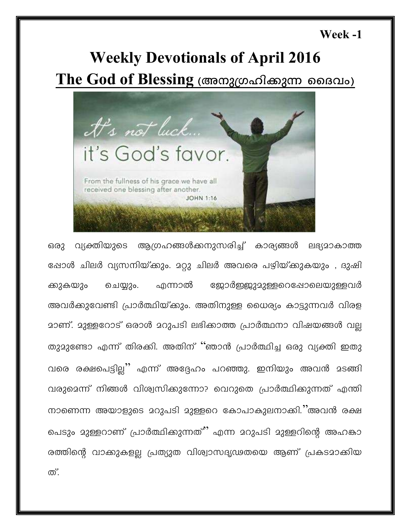#### Week -1

# **Weekly Devotionals of April 2016**

The God of Blessing (അനുഗ്രഹിക്കുന്ന ദൈവം)



വ്യക്തിയുടെ ആഗ്രഹങ്ങൾക്കനുസരിച്ച് കാര്യങ്ങൾ ലഭ്യമാകാത്ത ഒരു ഷോൾ ചിലർ വ്യസനിയ്ക്കും. മറ്റു ചിലർ അവരെ പഴിയ്ക്കുകയും , ദുഷി ജോർജ്ജുദ്ദുള്ളറെഷോലെയുള്ളവർ എന്നാൽ ക്കുകയും ചെയ്യും. അവർക്കുവേണ്ടി പ്രാർത്ഥിയ്ക്കും. അതിനുള്ള ധൈര്യം കാട്ടുന്നവർ വിരള മാണ്. മുള്ളറോട് ഒരാൾ മറുപടി ലഭിക്കാത്ത പ്രാർത്ഥനാ വിഷയങ്ങൾ വല തുദുണ്ടോ എന്ന് തിരക്കി. അതിന് ''ഞാൻ പ്രാർത്ഥിച്ച ഒരു വ്യക്തി ഇതു വരെ രക്ഷപെട്ടില്ല" എന്ന് അദ്ദേഹം പറഞ്ഞു. ഇനിയും അവൻ മടങ്ങി വരുമെന്ന് നിങ്ങൾ വിശ്വസിക്കുന്നോ? വെറുതെ പ്രാർത്ഥിക്കുന്നത് എന്തി നാണെന്ന അയാളുടെ മറുപടി മുള്ളറെ കോപാകുലനാക്കി.''അവൻ രക്ഷ പെടും മുള്ളറാണ് പ്രാർത്ഥിക്കുന്നത്'' എന്ന മറുപടി മുള്ളറിന്റെ അഹങ്കാ രത്തിന്റെ വാക്കുകളല്ല പ്രത്യുത വിശ്വാസദൃഢതയെ ആണ് പ്രകടമാക്കിയ ത്.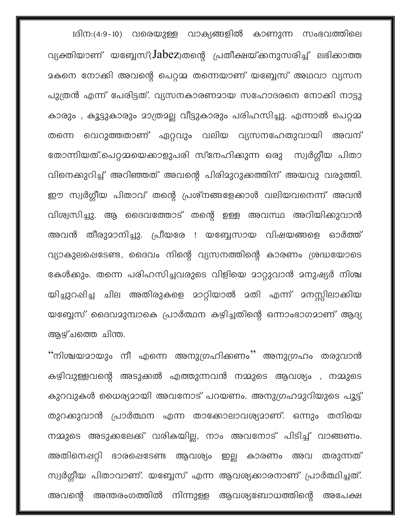1ദിന:(4:9-10) വരെയുള്ള വാക്യങ്ങളിൽ കാണുന്ന സംഭവത്തിലെ വ്യക്തിയാണ് യബ്ബേസ്( $\text{Jabez}$ )തന്റെ പ്രതീക്ഷയ്ക്കനുസരിച്ച് ലഭിക്കാത്ത മകനെ നോക്കി അവന്റെ പെറ്റമ്മ തന്നെയാണ് യബ്ബേസ് അഥവാ വ്യസന പുത്രൻ എന്ന് പേരിട്ടത്. വ്യസനകാരണമായ സഹോദരനെ നോക്കി നാട്ടു കാരും , കൂട്ടുകാരും മാത്രമല്ല വീട്ടുകാരും പരിഹസിച്ചു. എന്നാൽ പെറ്റമ്മ തന്നെ വെറുത്തതാണ് ഏറ്റവും വലിയ വ്യസനഹേതുവായി അവന് തോന്നിയത്.പെറ്റമ്മയെക്കാളുപരി സ്നേഹിക്കുന്ന ഒരു സ്വർഗ്ഗീയ പിതാ വിനെക്കുറിച്ച് അറിഞ്ഞത് അവന്റെ പിരിമുറുക്കത്തിന് അയവു വരുത്തി. ഈ സ്വർഗ്ഗീയ പിതാവ് തന്റെ പ്രശ്നങ്ങളേക്കാൾ വലിയവനെന്ന് അവൻ വിശ്വസിച്ചു. ആ ദൈവത്തോട് തന്റെ ഉള്ള അവസ്ഥ അറിയിക്കുവാൻ അവൻ തീരുമാനിച്ചു. പ്രീയരേ ! യബ്ബേസായ വിഷയങ്ങളെ ഓർത്ത് വ്യാകുലപ്പെടേണ്ട, ദൈവം നിന്റെ വ്യസനത്തിന്റെ കാരണം ശ്രദ്ധയോടെ കേൾക്കും. തന്നെ പരിഹസിച്ചവരുടെ വിളിയെ മാറ്റുവാൻ മനുഷ്യർ നിശ്ച യിച്ചുറപ്പിച്ച ചില അതിരുകളെ മാറ്റിയാൽ മതി എന്ന് മനസ്സിലാക്കിയ യബ്ബേസ് ദൈവമുമ്പാകെ പ്രാർത്ഥന കഴിച്ചതിന്റെ ഒന്നാംഭാഗമാണ് ആദ്യ ആഴ്ചത്തെ ചിന്ത.

"നിശ്ചയമായും നീ എന്നെ അനുഗ്രഹിക്കണം'' അനുഗ്രഹം തരുവാൻ കഴിവുള്ളവന്റെ അടുക്കൽ എത്തുന്നവൻ നമ്മുടെ ആവശ്യം , നമ്മുടെ കുറവുകൾ ധൈര്യമായി അവനോട് പറയണം. അനുഗ്രഹമുറിയുടെ പൂട്ട് തുറക്കുവാൻ പ്രാർത്ഥന എന്ന താക്കോലാവശ്യമാണ്. ഒന്നും തനിയെ നമ്മുടെ അടുക്കലേക്ക് വരികയില്ല, നാം അവനോട് പിടിച്ച് വാങ്ങണം. അതിനെഷറ്റി ഭാരപ്പെടേണ്ട ആവശ്യം ഇല്ല കാരണം അവ തരുന്നത് സ്വർഗ്ഗീയ പിതാവാണ്. യബ്ബേസ് എന്ന ആവശ്യക്കാരനാണ് പ്രാർത്ഥിച്ചത്. അവന്റെ അന്തരംഗത്തിൽ നിന്നുള്ള ആവശ്യബോധത്തിന്റെ അപേക്ഷ